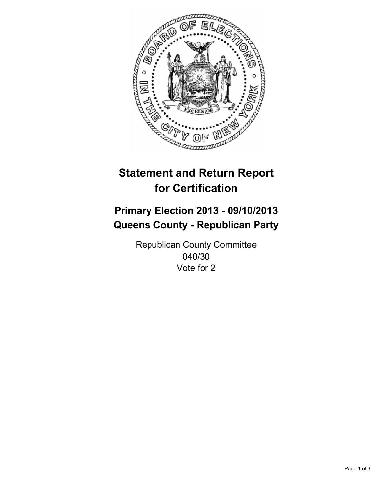

# **Statement and Return Report for Certification**

# **Primary Election 2013 - 09/10/2013 Queens County - Republican Party**

Republican County Committee 040/30 Vote for 2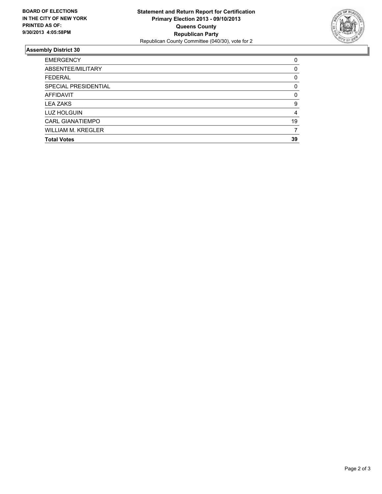

## **Assembly District 30**

| 0        |
|----------|
| $\Omega$ |
| 0        |
| $\Omega$ |
| $\Omega$ |
| 9        |
| 4        |
| 19       |
| 7        |
| 39       |
|          |